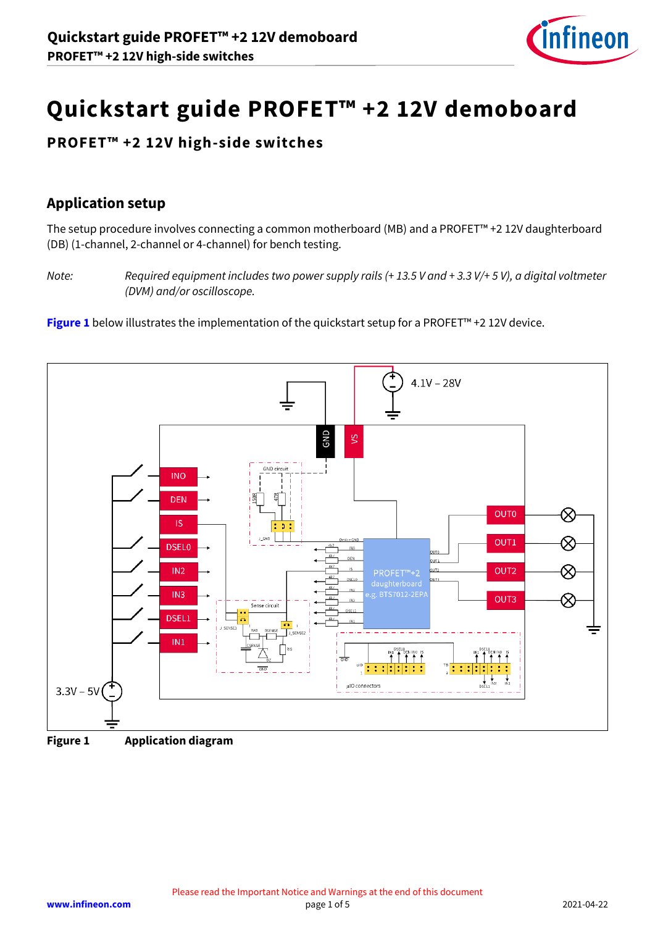

# **Quickstart guide PROFET™ +2 12V demoboard**

# **PROFET™ +2 12V high-side switches**

# **Application setup**

The setup procedure involves connecting a common motherboard (MB) and a PROFET™ +2 12V daughterboard (DB) (1-channel, 2-channel or 4-channel) for bench testing.

*Note: Required equipment includes two power supply rails (+ 13.5 V and + 3.3 V/+ 5 V), a digital voltmeter (DVM) and/or oscilloscope.*

**[Figure 1](#page-0-0)** below illustrates the implementation of the quickstart setup for a PROFET™ +2 12V device.





<span id="page-0-0"></span>**Figure 1 Application diagram**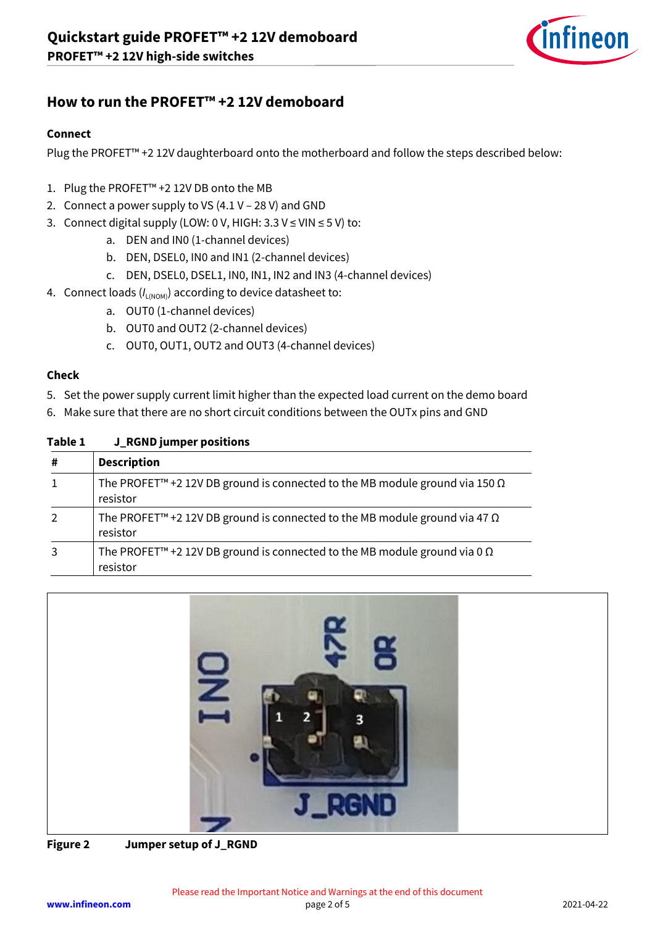

## **How to run the PROFET™ +2 12V demoboard**

#### **Connect**

Plug the PROFET™ +2 12V daughterboard onto the motherboard and follow the steps described below:

- 1. Plug the PROFET™ +2 12V DB onto the MB
- 2. Connect a power supply to VS (4.1 V 28 V) and GND
- 3. Connect digital supply (LOW: 0 V, HIGH:  $3.3 \text{ V} \leq \text{V}$ IN  $\leq 5 \text{ V}$ ) to:
	- a. DEN and IN0 (1-channel devices)
	- b. DEN, DSEL0, IN0 and IN1 (2-channel devices)
	- c. DEN, DSEL0, DSEL1, IN0, IN1, IN2 and IN3 (4-channel devices)
- 4. Connect loads ( $I_{L(NOM)}$ ) according to device datasheet to:
	- a. OUT0 (1-channel devices)
	- b. OUT0 and OUT2 (2-channel devices)
	- c. OUT0, OUT1, OUT2 and OUT3 (4-channel devices)

#### **Check**

- 5. Set the power supply current limit higher than the expected load current on the demo board
- 6. Make sure that there are no short circuit conditions between the OUTx pins and GND

| LANG T       | <b>J</b> KUND JUNDER DUSITIONS                                                                             |  |  |
|--------------|------------------------------------------------------------------------------------------------------------|--|--|
| #            | <b>Description</b>                                                                                         |  |  |
| $\mathbf{1}$ | The PROFET <sup>™</sup> +2 12V DB ground is connected to the MB module ground via 150 $\Omega$<br>resistor |  |  |
| 2            | The PROFET <sup>™</sup> +2 12V DB ground is connected to the MB module ground via 47 $\Omega$<br>resistor  |  |  |
| 3            | The PROFET <sup>™</sup> +2 12V DB ground is connected to the MB module ground via 0 $\Omega$<br>resistor   |  |  |

#### **Table 1 J\_RGND jumper positions**



**Figure 2 Jumper setup of J\_RGND**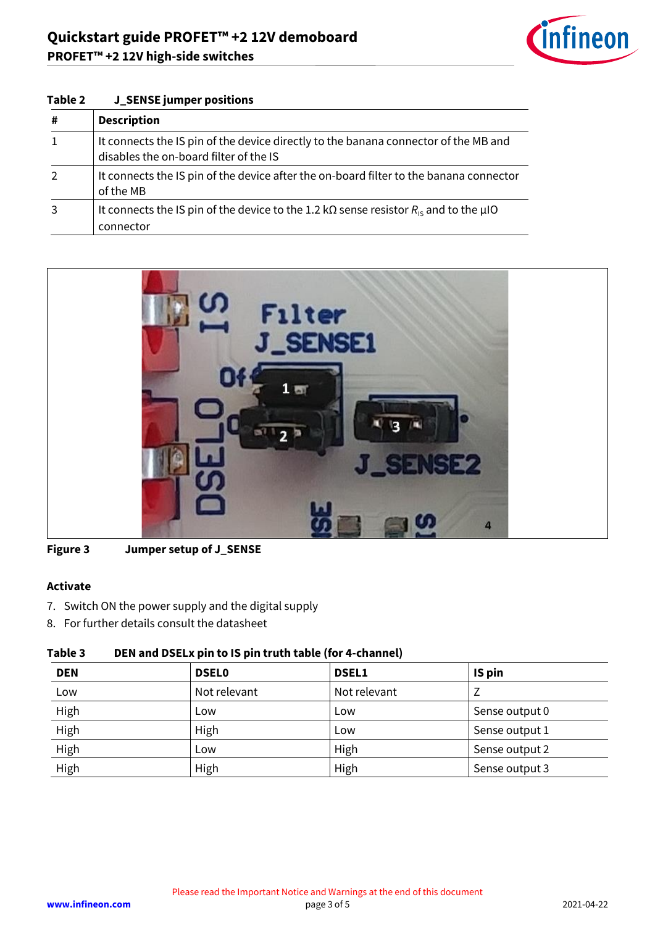**Table 2 J\_SENSE jumper positions**



| # | <b>Description</b>                                                                                                            |  |
|---|-------------------------------------------------------------------------------------------------------------------------------|--|
|   | It connects the IS pin of the device directly to the banana connector of the MB and<br>disables the on-board filter of the IS |  |
|   | It connects the IS pin of the device after the on-board filter to the banana connector<br>of the MB                           |  |
|   | It connects the IS pin of the device to the 1.2 k $\Omega$ sense resistor $R_{\rm is}$ and to the µIO<br>connector            |  |



| <b>Figure 3</b> | Jumper setup of J_SENSE |
|-----------------|-------------------------|
|-----------------|-------------------------|

## **Activate**

- 7. Switch ON the power supply and the digital supply
- 8. For further details consult the datasheet

## **Table 3 DEN and DSELx pin to IS pin truth table (for 4-channel)**

| <b>DEN</b> | <b>DSEL0</b> | <b>DSEL1</b> | IS pin         |
|------------|--------------|--------------|----------------|
| Low        | Not relevant | Not relevant |                |
| High       | Low          | Low          | Sense output 0 |
| High       | High         | Low          | Sense output 1 |
| High       | Low          | High         | Sense output 2 |
| High       | High         | High         | Sense output 3 |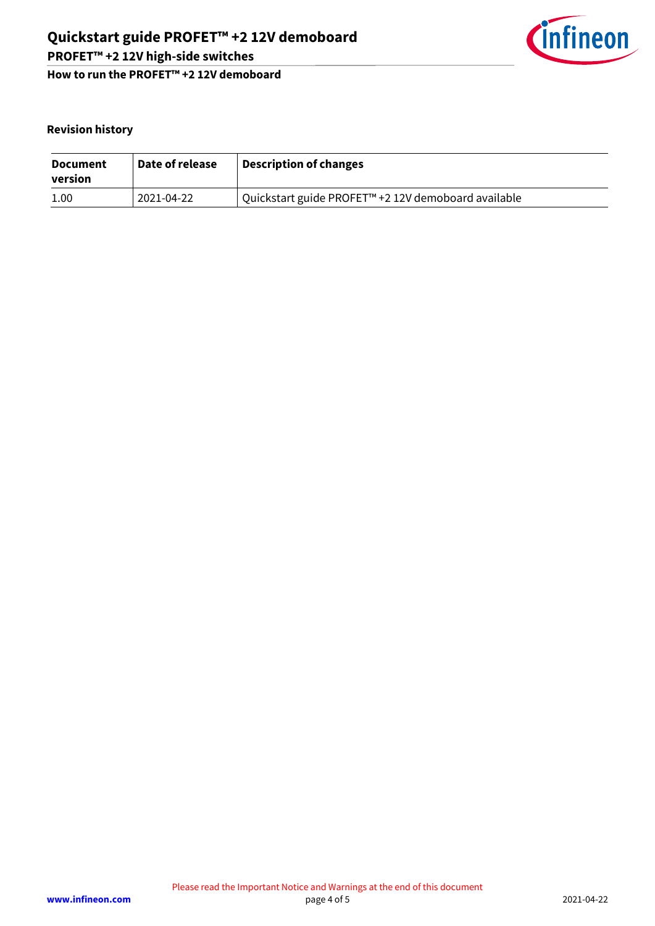

**How to run the PROFET™ +2 12V demoboard**

## **Revision history**

| <b>Document</b><br>version | Date of release | Description of changes                                |
|----------------------------|-----------------|-------------------------------------------------------|
| 1.00                       | 2021-04-22      | l Quickstart guide PROFET™ +2 12V demoboard available |